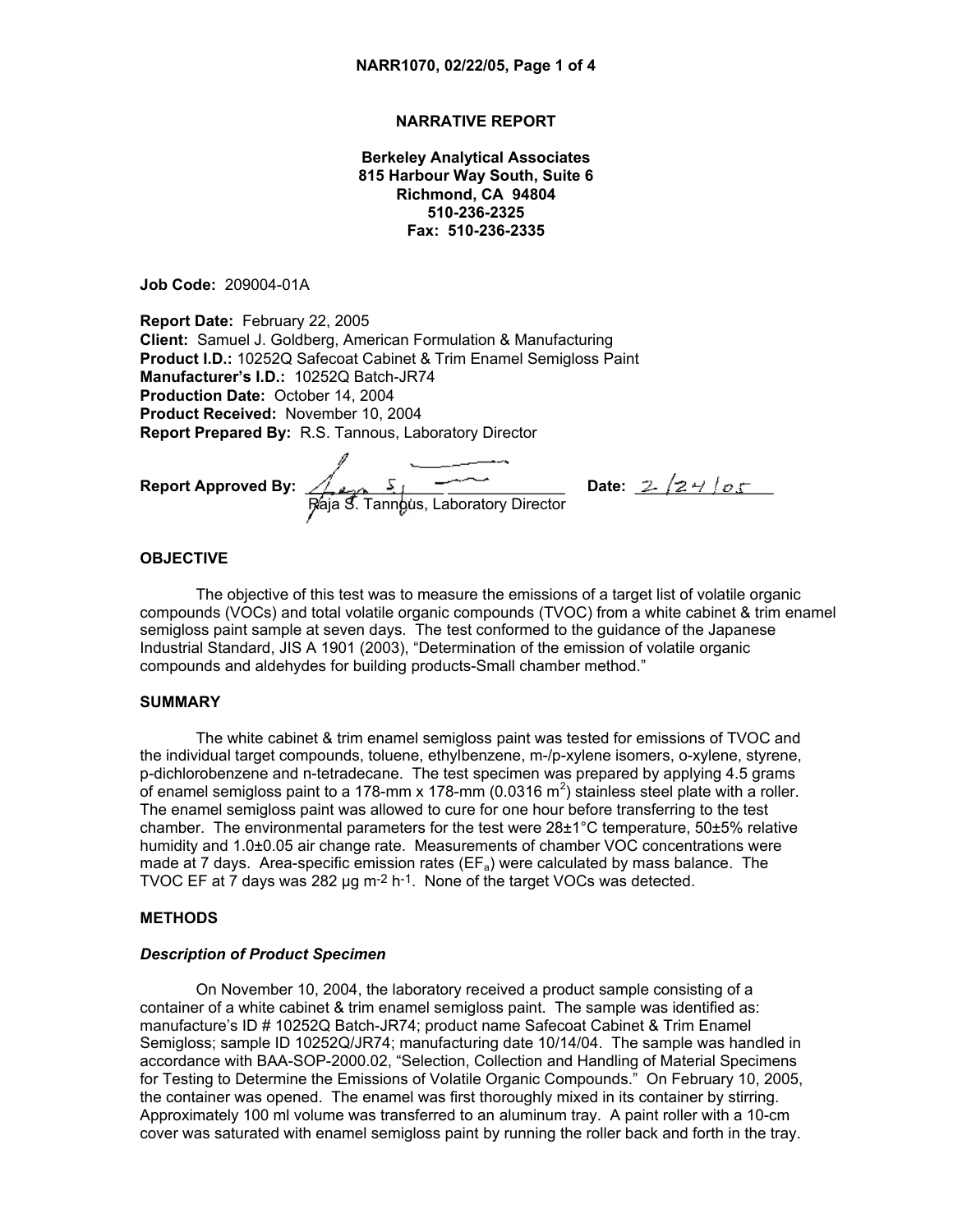## **NARRATIVE REPORT**

**Berkeley Analytical Associates 815 Harbour Way South, Suite 6 Richmond, CA 94804 510-236-2325 Fax: 510-236-2335**

**Job Code:** 209004-01A

**Report Date:** February 22, 2005 **Client:** Samuel J. Goldberg, American Formulation & Manufacturing **Product I.D.:** 10252Q Safecoat Cabinet & Trim Enamel Semigloss Paint **Manufacturer's I.D.:** 10252Q Batch-JR74 **Production Date:** October 14, 2004 **Product Received:** November 10, 2004 **Report Prepared By:** R.S. Tannous, Laboratory Director

**Report Approved By:** \_\_\_\_\_\_\_\_\_\_\_\_\_\_\_\_ \_\_\_\_\_\_\_\_\_\_\_\_\_\_\_\_**Date:** \_\_\_\_\_\_\_\_\_\_\_\_\_\_\_\_ Raja S. Tannous, Laboratory Director

### **OBJECTIVE**

The objective of this test was to measure the emissions of a target list of volatile organic compounds (VOCs) and total volatile organic compounds (TVOC) from a white cabinet & trim enamel semigloss paint sample at seven days. The test conformed to the guidance of the Japanese Industrial Standard, JIS A 1901 (2003), "Determination of the emission of volatile organic compounds and aldehydes for building products-Small chamber method."

### **SUMMARY**

The white cabinet & trim enamel semigloss paint was tested for emissions of TVOC and the individual target compounds, toluene, ethylbenzene, m-/p-xylene isomers, o-xylene, styrene, p-dichlorobenzene and n-tetradecane. The test specimen was prepared by applying 4.5 grams of enamel semigloss paint to a 178-mm x 178-mm (0.0316 m<sup>2</sup>) stainless steel plate with a roller. The enamel semigloss paint was allowed to cure for one hour before transferring to the test chamber. The environmental parameters for the test were  $28\pm1^{\circ}$ C temperature,  $50\pm5\%$  relative humidity and 1.0±0.05 air change rate. Measurements of chamber VOC concentrations were made at 7 days. Area-specific emission rates ( $EF_a$ ) were calculated by mass balance. The TVOC EF at 7 days was 282 µg m-2 h-1. None of the target VOCs was detected.

#### **METHODS**

### *Description of Product Specimen*

On November 10, 2004, the laboratory received a product sample consisting of a container of a white cabinet & trim enamel semigloss paint. The sample was identified as: manufacture's ID # 10252Q Batch-JR74; product name Safecoat Cabinet & Trim Enamel Semigloss; sample ID 10252Q/JR74; manufacturing date 10/14/04. The sample was handled in accordance with BAA-SOP-2000.02, "Selection, Collection and Handling of Material Specimens for Testing to Determine the Emissions of Volatile Organic Compounds." On February 10, 2005, the container was opened. The enamel was first thoroughly mixed in its container by stirring. Approximately 100 ml volume was transferred to an aluminum tray. A paint roller with a 10-cm cover was saturated with enamel semigloss paint by running the roller back and forth in the tray.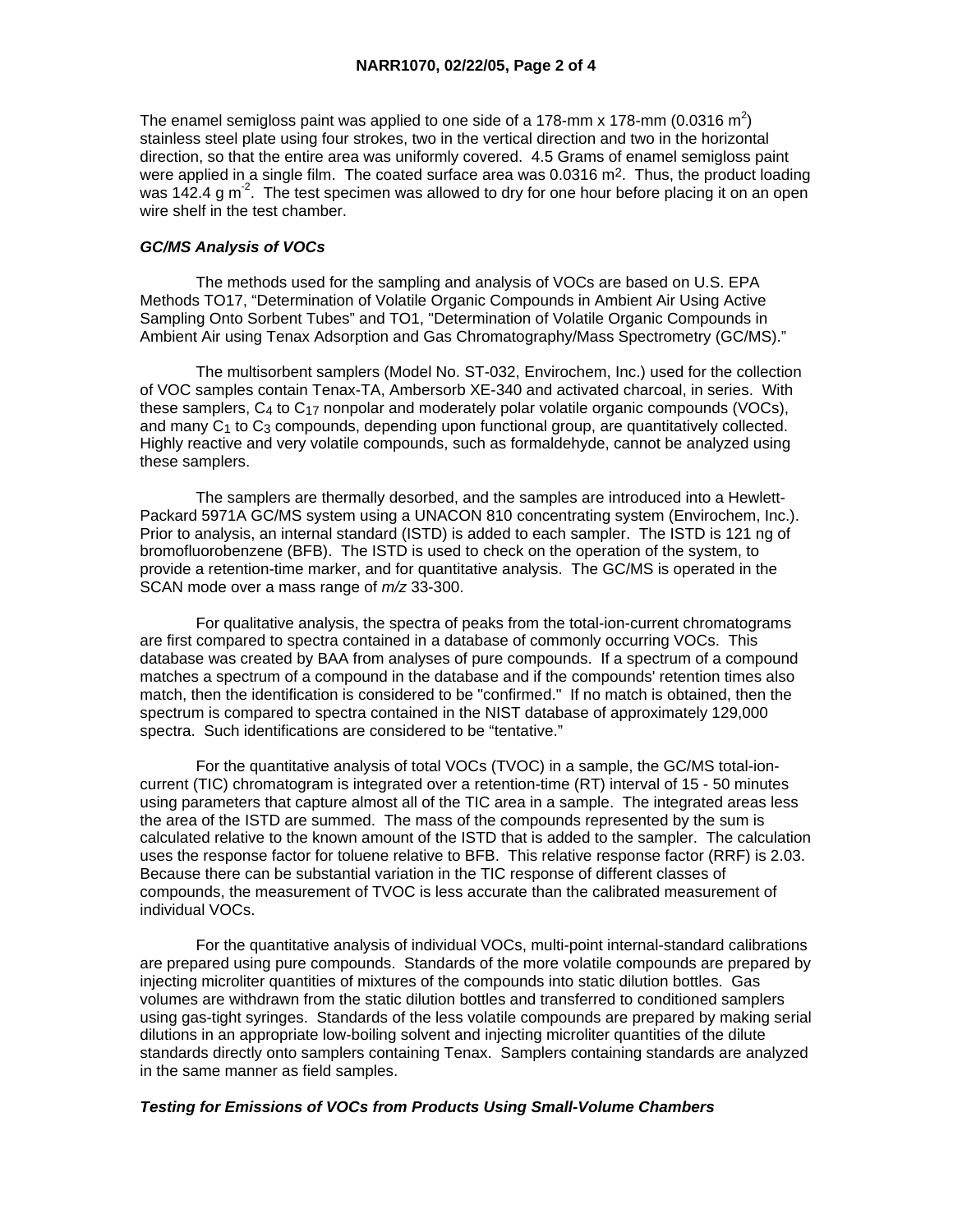The enamel semigloss paint was applied to one side of a 178-mm x 178-mm (0.0316 m<sup>2</sup>) stainless steel plate using four strokes, two in the vertical direction and two in the horizontal direction, so that the entire area was uniformly covered. 4.5 Grams of enamel semigloss paint were applied in a single film. The coated surface area was  $0.0316$  m<sup>2</sup>. Thus, the product loading was 142.4 g m<sup>-2</sup>. The test specimen was allowed to dry for one hour before placing it on an open wire shelf in the test chamber.

## *GC/MS Analysis of VOCs*

 The methods used for the sampling and analysis of VOCs are based on U.S. EPA Methods TO17, "Determination of Volatile Organic Compounds in Ambient Air Using Active Sampling Onto Sorbent Tubes" and TO1, "Determination of Volatile Organic Compounds in Ambient Air using Tenax Adsorption and Gas Chromatography/Mass Spectrometry (GC/MS)."

 The multisorbent samplers (Model No. ST-032, Envirochem, Inc.) used for the collection of VOC samples contain Tenax-TA, Ambersorb XE-340 and activated charcoal, in series. With these samplers, C4 to C17 nonpolar and moderately polar volatile organic compounds (VOCs), and many  $C_1$  to  $C_3$  compounds, depending upon functional group, are quantitatively collected. Highly reactive and very volatile compounds, such as formaldehyde, cannot be analyzed using these samplers.

 The samplers are thermally desorbed, and the samples are introduced into a Hewlett-Packard 5971A GC/MS system using a UNACON 810 concentrating system (Envirochem, Inc.). Prior to analysis, an internal standard (ISTD) is added to each sampler. The ISTD is 121 ng of bromofluorobenzene (BFB). The ISTD is used to check on the operation of the system, to provide a retention-time marker, and for quantitative analysis. The GC/MS is operated in the SCAN mode over a mass range of *m/z* 33-300.

 For qualitative analysis, the spectra of peaks from the total-ion-current chromatograms are first compared to spectra contained in a database of commonly occurring VOCs. This database was created by BAA from analyses of pure compounds. If a spectrum of a compound matches a spectrum of a compound in the database and if the compounds' retention times also match, then the identification is considered to be "confirmed." If no match is obtained, then the spectrum is compared to spectra contained in the NIST database of approximately 129,000 spectra. Such identifications are considered to be "tentative."

 For the quantitative analysis of total VOCs (TVOC) in a sample, the GC/MS total-ioncurrent (TIC) chromatogram is integrated over a retention-time (RT) interval of 15 - 50 minutes using parameters that capture almost all of the TIC area in a sample. The integrated areas less the area of the ISTD are summed. The mass of the compounds represented by the sum is calculated relative to the known amount of the ISTD that is added to the sampler. The calculation uses the response factor for toluene relative to BFB. This relative response factor (RRF) is 2.03. Because there can be substantial variation in the TIC response of different classes of compounds, the measurement of TVOC is less accurate than the calibrated measurement of individual VOCs.

 For the quantitative analysis of individual VOCs, multi-point internal-standard calibrations are prepared using pure compounds. Standards of the more volatile compounds are prepared by injecting microliter quantities of mixtures of the compounds into static dilution bottles. Gas volumes are withdrawn from the static dilution bottles and transferred to conditioned samplers using gas-tight syringes. Standards of the less volatile compounds are prepared by making serial dilutions in an appropriate low-boiling solvent and injecting microliter quantities of the dilute standards directly onto samplers containing Tenax. Samplers containing standards are analyzed in the same manner as field samples.

# *Testing for Emissions of VOCs from Products Using Small-Volume Chambers*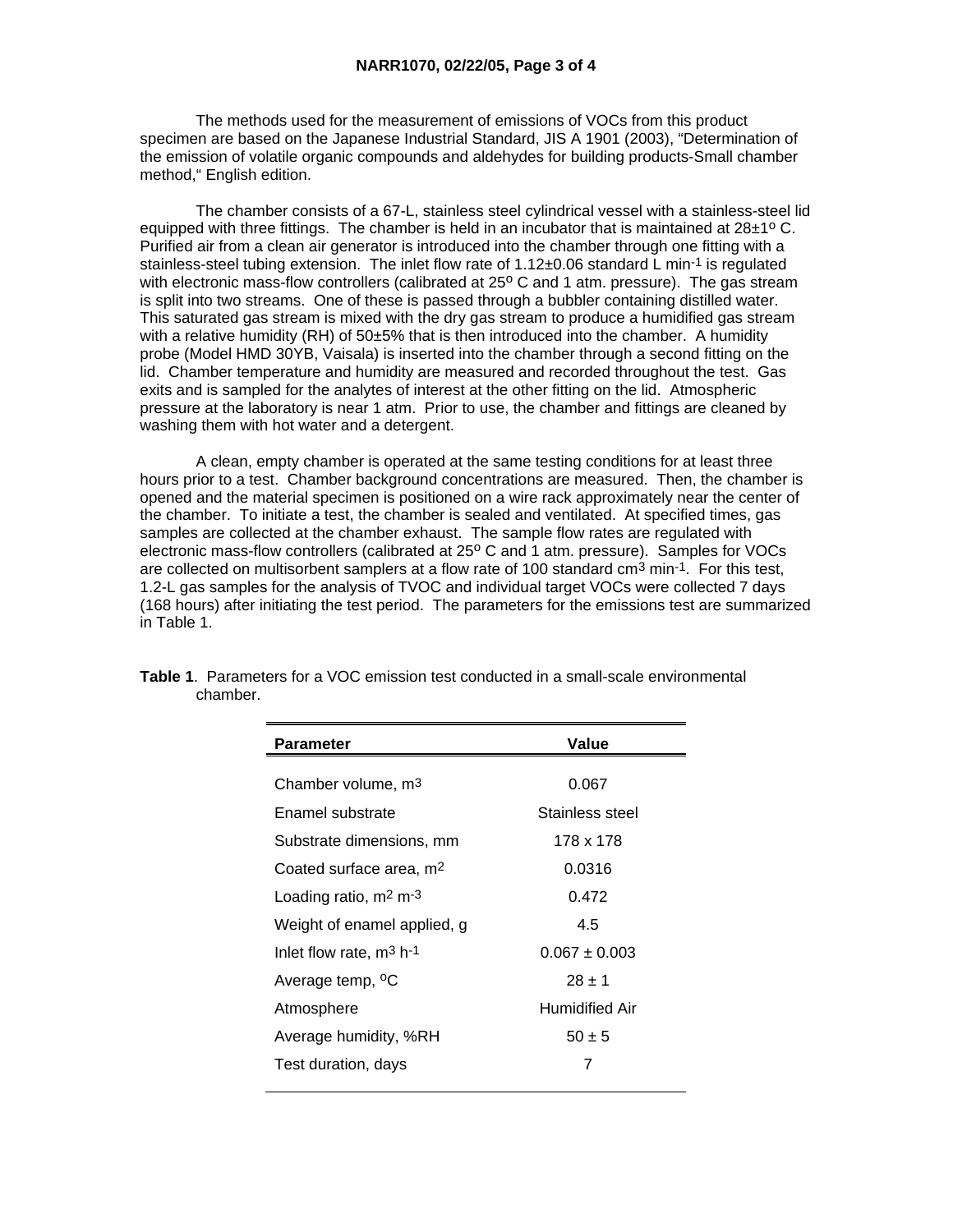The methods used for the measurement of emissions of VOCs from this product specimen are based on the Japanese Industrial Standard, JIS A 1901 (2003), "Determination of the emission of volatile organic compounds and aldehydes for building products-Small chamber method," English edition.

 The chamber consists of a 67-L, stainless steel cylindrical vessel with a stainless-steel lid equipped with three fittings. The chamber is held in an incubator that is maintained at  $28\pm1^{\circ}$  C. Purified air from a clean air generator is introduced into the chamber through one fitting with a stainless-steel tubing extension. The inlet flow rate of 1.12±0.06 standard L min<sup>-1</sup> is regulated with electronic mass-flow controllers (calibrated at 25° C and 1 atm. pressure). The gas stream is split into two streams. One of these is passed through a bubbler containing distilled water. This saturated gas stream is mixed with the dry gas stream to produce a humidified gas stream with a relative humidity (RH) of 50±5% that is then introduced into the chamber. A humidity probe (Model HMD 30YB, Vaisala) is inserted into the chamber through a second fitting on the lid. Chamber temperature and humidity are measured and recorded throughout the test. Gas exits and is sampled for the analytes of interest at the other fitting on the lid. Atmospheric pressure at the laboratory is near 1 atm. Prior to use, the chamber and fittings are cleaned by washing them with hot water and a detergent.

 A clean, empty chamber is operated at the same testing conditions for at least three hours prior to a test. Chamber background concentrations are measured. Then, the chamber is opened and the material specimen is positioned on a wire rack approximately near the center of the chamber. To initiate a test, the chamber is sealed and ventilated. At specified times, gas samples are collected at the chamber exhaust. The sample flow rates are regulated with electronic mass-flow controllers (calibrated at 25° C and 1 atm. pressure). Samples for VOCs are collected on multisorbent samplers at a flow rate of 100 standard cm3 min-1. For this test, 1.2-L gas samples for the analysis of TVOC and individual target VOCs were collected 7 days (168 hours) after initiating the test period. The parameters for the emissions test are summarized in Table 1.

| Parameter                           | Value                 |
|-------------------------------------|-----------------------|
|                                     |                       |
| Chamber volume, m <sup>3</sup>      | 0.067                 |
| Enamel substrate                    | Stainless steel       |
| Substrate dimensions, mm            | 178 x 178             |
| Coated surface area, m <sup>2</sup> | 0.0316                |
| Loading ratio, $m2 m-3$             | 0.472                 |
| Weight of enamel applied, g         | 4.5                   |
| Inlet flow rate, $m^3$ h-1          | $0.067 \pm 0.003$     |
| Average temp, <sup>o</sup> C        | $28 + 1$              |
| Atmosphere                          | <b>Humidified Air</b> |
| Average humidity, %RH               | $50 \pm 5$            |
| Test duration, days                 | 7                     |
|                                     |                       |

**Table 1**. Parameters for a VOC emission test conducted in a small-scale environmental chamber.